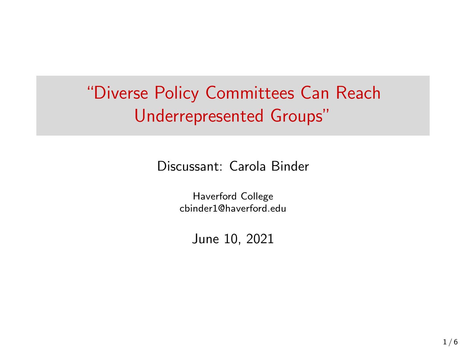# "Diverse Policy Committees Can Reach Underrepresented Groups"

Discussant: Carola Binder

Haverford College cbinder1@haverford.edu

June 10, 2021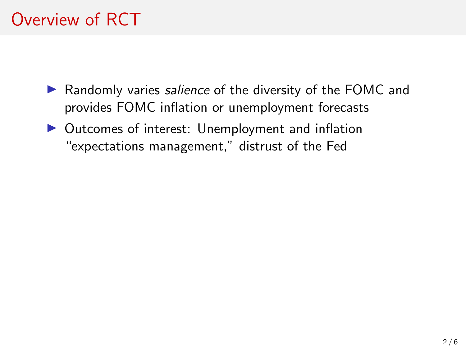## Overview of RCT

- ▶ Randomly varies salience of the diversity of the FOMC and provides FOMC inflation or unemployment forecasts
- $\triangleright$  Outcomes of interest: Unemployment and inflation "expectations management," distrust of the Fed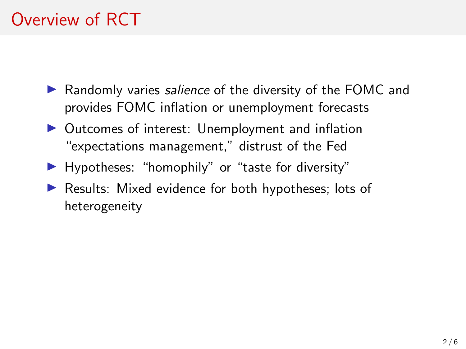## Overview of RCT

- ▶ Randomly varies salience of the diversity of the FOMC and provides FOMC inflation or unemployment forecasts
- $\triangleright$  Outcomes of interest: Unemployment and inflation "expectations management," distrust of the Fed
- $\blacktriangleright$  Hypotheses: "homophily" or "taste for diversity"
- $\blacktriangleright$  Results: Mixed evidence for both hypotheses; lots of heterogeneity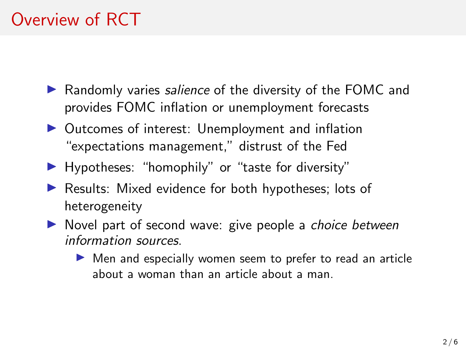## Overview of RCT

- ▶ Randomly varies salience of the diversity of the FOMC and provides FOMC inflation or unemployment forecasts
- $\triangleright$  Outcomes of interest: Unemployment and inflation "expectations management," distrust of the Fed
- $\blacktriangleright$  Hypotheses: "homophily" or "taste for diversity"
- $\blacktriangleright$  Results: Mixed evidence for both hypotheses; lots of heterogeneity
- $\triangleright$  Novel part of second wave: give people a *choice between* information sources.
	- $\triangleright$  Men and especially women seem to prefer to read an article about a woman than an article about a man.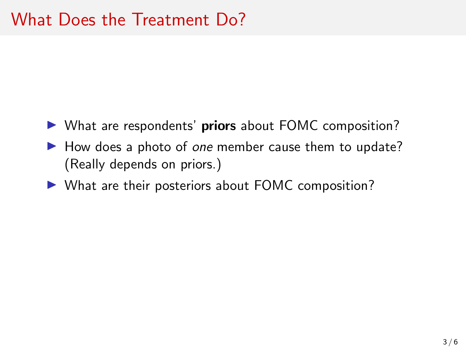- $\triangleright$  What are respondents' priors about FOMC composition?
- $\blacktriangleright$  How does a photo of one member cause them to update? (Really depends on priors.)
- $\blacktriangleright$  What are their posteriors about FOMC composition?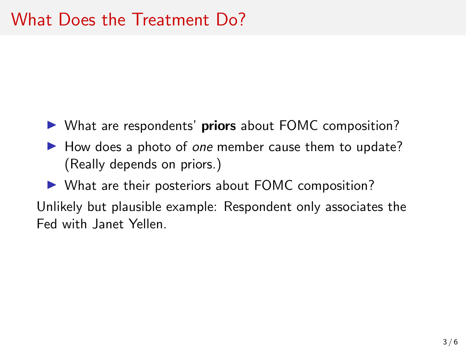- $\triangleright$  What are respondents' priors about FOMC composition?
- $\blacktriangleright$  How does a photo of one member cause them to update? (Really depends on priors.)

 $\triangleright$  What are their posteriors about FOMC composition? Unlikely but plausible example: Respondent only associates the Fed with Janet Yellen.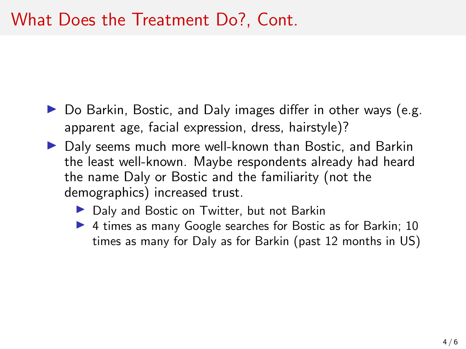- $\triangleright$  Do Barkin, Bostic, and Daly images differ in other ways (e.g. apparent age, facial expression, dress, hairstyle)?
- ▶ Daly seems much more well-known than Bostic, and Barkin the least well-known. Maybe respondents already had heard the name Daly or Bostic and the familiarity (not the demographics) increased trust.
	- ▶ Daly and Bostic on Twitter, but not Barkin
	- ▶ 4 times as many Google searches for Bostic as for Barkin; 10 times as many for Daly as for Barkin (past 12 months in US)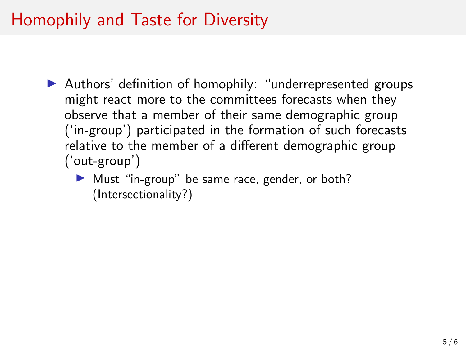#### Homophily and Taste for Diversity

- $\blacktriangleright$  Authors' definition of homophily: "underrepresented groups might react more to the committees forecasts when they observe that a member of their same demographic group ('in-group') participated in the formation of such forecasts relative to the member of a different demographic group ('out-group')
	- $\blacktriangleright$  Must "in-group" be same race, gender, or both? (Intersectionality?)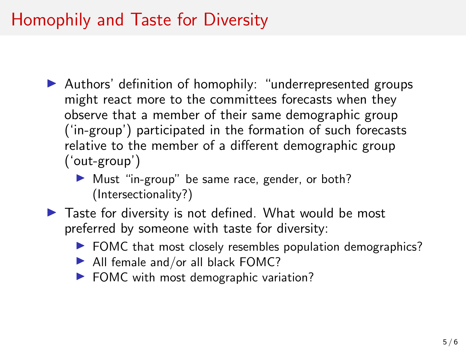#### Homophily and Taste for Diversity

- $\blacktriangleright$  Authors' definition of homophily: "underrepresented groups might react more to the committees forecasts when they observe that a member of their same demographic group ('in-group') participated in the formation of such forecasts relative to the member of a different demographic group ('out-group')
	- Inter-Must "in-group" be same race, gender, or both? (Intersectionality?)
- $\blacktriangleright$  Taste for diversity is not defined. What would be most preferred by someone with taste for diversity:
	- $\blacktriangleright$  FOMC that most closely resembles population demographics?
	- $\blacktriangleright$  All female and/or all black FOMC?
	- $\blacktriangleright$  FOMC with most demographic variation?